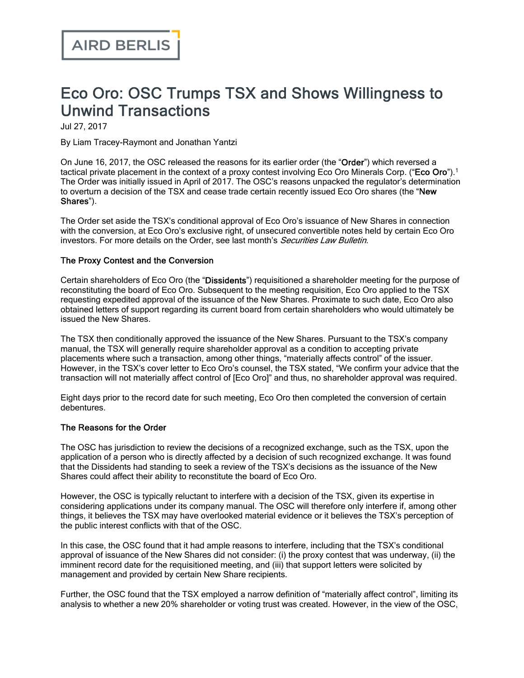# Eco Oro: OSC Trumps TSX and Shows Willingness to Unwind Transactions

Jul 27, 2017

By Liam Tracey-Raymont and Jonathan Yantzi

On June 16, 2017, the OSC released the [reasons](https://sites-airdberlis.vuturevx.com/email_handler.aspx) for its earlier order (the "Order") which reversed a tactical private placement in the context of a proxy contest involving Eco Oro Minerals Corp. ("Eco Oro").<sup>1</sup> The [Order](https://sites-airdberlis.vuturevx.com/email_handler.aspx) was initially issued in April of 2017. The OSC's reasons unpacked the regulator's determination to overturn a decision of the TSX and cease trade certain recently issued Eco Oro shares (the "New Shares").

The Order set aside the TSX's conditional approval of Eco Oro's issuance of New Shares in connection with the conversion, at Eco Oro's exclusive right, of unsecured convertible notes held by certain Eco Oro investors. For more details on the Order, see last month's Securities Law Bulletin.

#### The Proxy Contest and the Conversion

Certain shareholders of Eco Oro (the "Dissidents") requisitioned a shareholder meeting for the purpose of reconstituting the board of Eco Oro. Subsequent to the meeting requisition, Eco Oro applied to the TSX requesting expedited approval of the issuance of the New Shares. Proximate to such date, Eco Oro also obtained letters of support regarding its current board from certain shareholders who would ultimately be issued the New Shares.

The TSX then conditionally approved the issuance of the New Shares. Pursuant to the TSX's company manual, the TSX will generally require shareholder approval as a condition to accepting private placements where such a transaction, among other things, "materially affects control" of the issuer. However, in the TSX's cover letter to Eco Oro's counsel, the TSX stated, "We confirm your advice that the transaction will not materially affect control of [Eco Oro]" and thus, no shareholder approval was required.

Eight days prior to the record date for such meeting, Eco Oro then completed the conversion of certain debentures.

#### The Reasons for the Order

The OSC has jurisdiction to review the decisions of a recognized exchange, such as the TSX, upon the application of a person who is directly affected by a decision of such recognized exchange. It was found that the Dissidents had standing to seek a review of the TSX's decisions as the issuance of the New Shares could affect their ability to reconstitute the board of Eco Oro.

However, the OSC is typically reluctant to interfere with a decision of the TSX, given its expertise in considering applications under its company manual. The OSC will therefore only interfere if, among other things, it believes the TSX may have overlooked material evidence or it believes the TSX's perception of the public interest conflicts with that of the OSC.

In this case, the OSC found that it had ample reasons to interfere, including that the TSX's conditional approval of issuance of the New Shares did not consider: (i) the proxy contest that was underway, (ii) the imminent record date for the requisitioned meeting, and (iii) that support letters were solicited by management and provided by certain New Share recipients.

Further, the OSC found that the TSX employed a narrow definition of "materially affect control", limiting its analysis to whether a new 20% shareholder or voting trust was created. However, in the view of the OSC,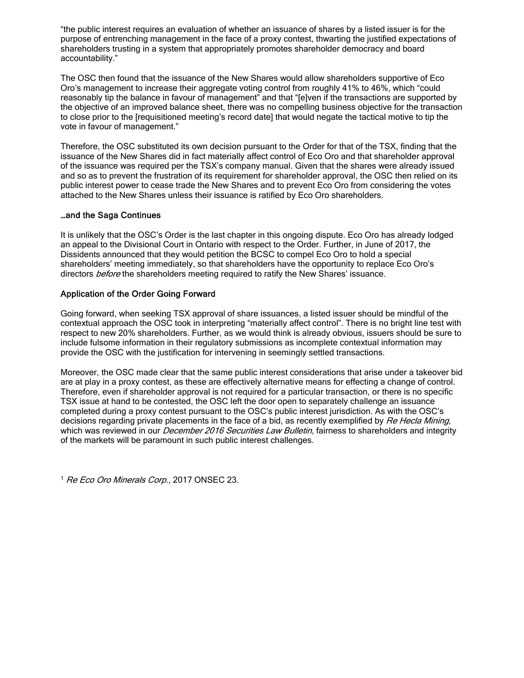"the public interest requires an evaluation of whether an issuance of shares by a listed issuer is for the purpose of entrenching management in the face of a proxy contest, thwarting the justified expectations of shareholders trusting in a system that appropriately promotes shareholder democracy and board accountability."

The OSC then found that the issuance of the New Shares would allow shareholders supportive of Eco Oro's management to increase their aggregate voting control from roughly 41% to 46%, which "could reasonably tip the balance in favour of management" and that "[e]ven if the transactions are supported by the objective of an improved balance sheet, there was no compelling business objective for the transaction to close prior to the [requisitioned meeting's record date] that would negate the tactical motive to tip the vote in favour of management."

Therefore, the OSC substituted its own decision pursuant to the Order for that of the TSX, finding that the issuance of the New Shares did in fact materially affect control of Eco Oro and that shareholder approval of the issuance was required per the TSX's company manual. Given that the shares were already issued and so as to prevent the frustration of its requirement for shareholder approval, the OSC then relied on its public interest power to cease trade the New Shares and to prevent Eco Oro from considering the votes attached to the New Shares unless their issuance is ratified by Eco Oro shareholders.

## …and the Saga Continues

It is unlikely that the OSC's Order is the last chapter in this ongoing dispute. Eco Oro has already lodged an appeal to the Divisional Court in Ontario with respect to the Order. Further, in June of 2017, the Dissidents announced that they would petition the BCSC to compel Eco Oro to hold a special shareholders' meeting immediately, so that shareholders have the opportunity to replace Eco Oro's directors *before* the shareholders meeting required to ratify the New Shares' issuance.

## Application of the Order Going Forward

Going forward, when seeking TSX approval of share issuances, a listed issuer should be mindful of the contextual approach the OSC took in interpreting "materially affect control". There is no bright line test with respect to new 20% shareholders. Further, as we would think is already obvious, issuers should be sure to include fulsome information in their regulatory submissions as incomplete contextual information may provide the OSC with the justification for intervening in seemingly settled transactions.

Moreover, the OSC made clear that the same public interest considerations that arise under a takeover bid are at play in a proxy contest, as these are effectively alternative means for effecting a change of control. Therefore, even if shareholder approval is not required for a particular transaction, or there is no specific TSX issue at hand to be contested, the OSC left the door open to separately challenge an issuance completed during a proxy contest pursuant to the OSC's public interest jurisdiction. As with the OSC's decisions regarding private placements in the face of a bid, as recently exemplified by Re Hecla Mining, which was reviewed in our *[December](https://sites-airdberlis.vuturevx.com/email_handler.aspx) 2016 Securities Law Bulletin*, fairness to shareholders and integrity of the markets will be paramount in such public interest challenges.

<sup>1</sup> Re Eco Oro Minerals Corp., 2017 ONSEC 23.